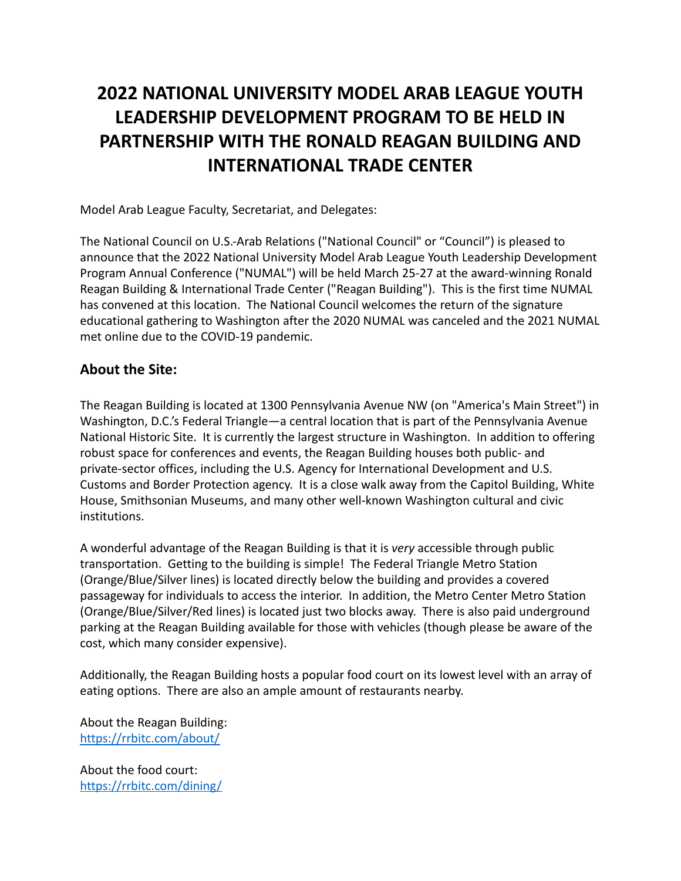# **2022 NATIONAL UNIVERSITY MODEL ARAB LEAGUE YOUTH LEADERSHIP DEVELOPMENT PROGRAM TO BE HELD IN PARTNERSHIP WITH THE RONALD REAGAN BUILDING AND INTERNATIONAL TRADE CENTER**

Model Arab League Faculty, Secretariat, and Delegates:

The National Council on U.S.-Arab Relations ("National Council" or "Council") is pleased to announce that the 2022 National University Model Arab League Youth Leadership Development Program Annual Conference ("NUMAL") will be held March 25-27 at the award-winning Ronald Reagan Building & International Trade Center ("Reagan Building"). This is the first time NUMAL has convened at this location. The National Council welcomes the return of the signature educational gathering to Washington after the 2020 NUMAL was canceled and the 2021 NUMAL met online due to the COVID-19 pandemic.

## **About the Site:**

The Reagan Building is located at 1300 Pennsylvania Avenue NW (on "America's Main Street") in Washington, D.C.'s Federal Triangle—a central location that is part of the Pennsylvania Avenue National Historic Site. It is currently the largest structure in Washington. In addition to offering robust space for conferences and events, the Reagan Building houses both public- and private-sector offices, including the U.S. Agency for International Development and U.S. Customs and Border Protection agency. It is a close walk away from the Capitol Building, White House, Smithsonian Museums, and many other well-known Washington cultural and civic institutions.

A wonderful advantage of the Reagan Building is that it is *very* accessible through public transportation. Getting to the building is simple! The Federal Triangle Metro Station (Orange/Blue/Silver lines) is located directly below the building and provides a covered passageway for individuals to access the interior. In addition, the Metro Center Metro Station (Orange/Blue/Silver/Red lines) is located just two blocks away. There is also paid underground parking at the Reagan Building available for those with vehicles (though please be aware of the cost, which many consider expensive).

Additionally, the Reagan Building hosts a popular food court on its lowest level with an array of eating options. There are also an ample amount of restaurants nearby.

About the Reagan Building: <https://rrbitc.com/about/>

About the food court: <https://rrbitc.com/dining/>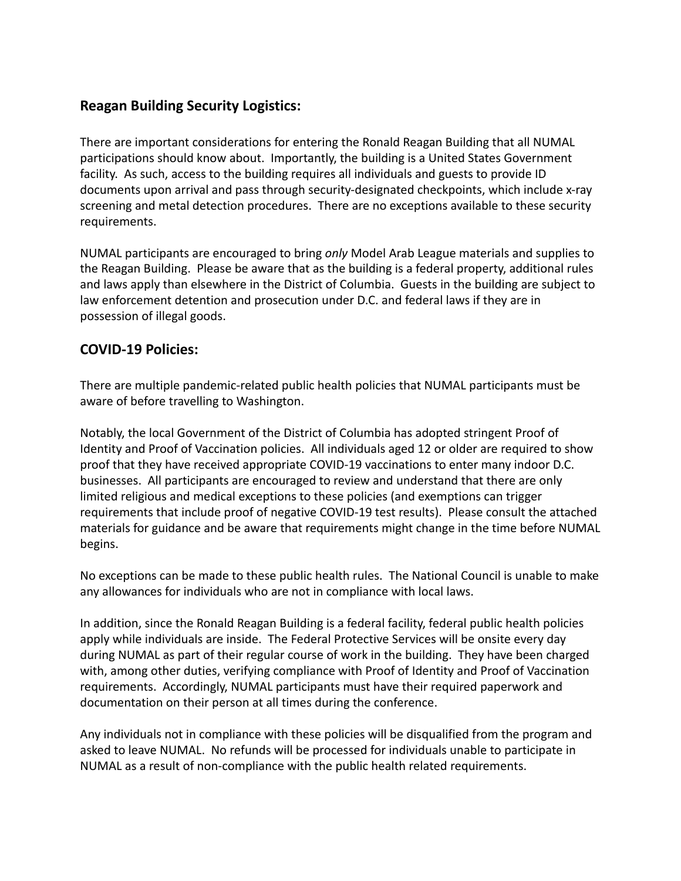## **Reagan Building Security Logistics:**

There are important considerations for entering the Ronald Reagan Building that all NUMAL participations should know about. Importantly, the building is a United States Government facility. As such, access to the building requires all individuals and guests to provide ID documents upon arrival and pass through security-designated checkpoints, which include x-ray screening and metal detection procedures. There are no exceptions available to these security requirements.

NUMAL participants are encouraged to bring *only* Model Arab League materials and supplies to the Reagan Building. Please be aware that as the building is a federal property, additional rules and laws apply than elsewhere in the District of Columbia. Guests in the building are subject to law enforcement detention and prosecution under D.C. and federal laws if they are in possession of illegal goods.

## **COVID-19 Policies:**

There are multiple pandemic-related public health policies that NUMAL participants must be aware of before travelling to Washington.

Notably, the local Government of the District of Columbia has adopted stringent Proof of Identity and Proof of Vaccination policies. All individuals aged 12 or older are required to show proof that they have received appropriate COVID-19 vaccinations to enter many indoor D.C. businesses. All participants are encouraged to review and understand that there are only limited religious and medical exceptions to these policies (and exemptions can trigger requirements that include proof of negative COVID-19 test results). Please consult the attached materials for guidance and be aware that requirements might change in the time before NUMAL begins.

No exceptions can be made to these public health rules. The National Council is unable to make any allowances for individuals who are not in compliance with local laws.

In addition, since the Ronald Reagan Building is a federal facility, federal public health policies apply while individuals are inside. The Federal Protective Services will be onsite every day during NUMAL as part of their regular course of work in the building. They have been charged with, among other duties, verifying compliance with Proof of Identity and Proof of Vaccination requirements. Accordingly, NUMAL participants must have their required paperwork and documentation on their person at all times during the conference.

Any individuals not in compliance with these policies will be disqualified from the program and asked to leave NUMAL. No refunds will be processed for individuals unable to participate in NUMAL as a result of non-compliance with the public health related requirements.